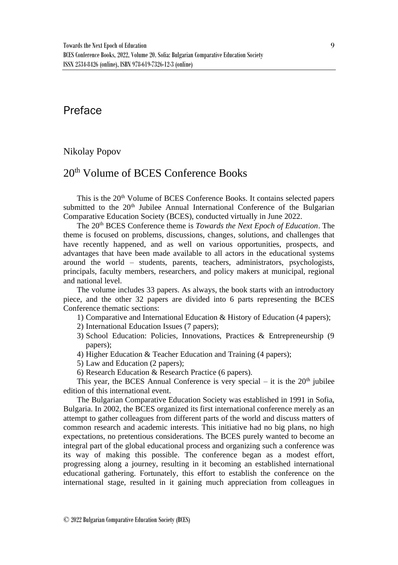## Preface

## Nikolay Popov

## 20th Volume of BCES Conference Books

This is the 20<sup>th</sup> Volume of BCES Conference Books. It contains selected papers submitted to the 20<sup>th</sup> Jubilee Annual International Conference of the Bulgarian Comparative Education Society (BCES), conducted virtually in June 2022.

The 20th BCES Conference theme is *Towards the Next Epoch of Education*. The theme is focused on problems, discussions, changes, solutions, and challenges that have recently happened, and as well on various opportunities, prospects, and advantages that have been made available to all actors in the educational systems around the world – students, parents, teachers, administrators, psychologists, principals, faculty members, researchers, and policy makers at municipal, regional and national level.

The volume includes 33 papers. As always, the book starts with an introductory piece, and the other 32 papers are divided into 6 parts representing the BCES Conference thematic sections:

- 1) Comparative and International Education & History of Education (4 papers);
- 2) International Education Issues (7 papers);
- 3) School Education: Policies, Innovations, Practices & Entrepreneurship (9 papers);
- 4) Higher Education & Teacher Education and Training (4 papers);
- 5) Law and Education (2 papers);
- 6) Research Education & Research Practice (6 papers).

This year, the BCES Annual Conference is very special – it is the  $20<sup>th</sup>$  jubilee edition of this international event.

The Bulgarian Comparative Education Society was established in 1991 in Sofia, Bulgaria. In 2002, the BCES organized its first international conference merely as an attempt to gather colleagues from different parts of the world and discuss matters of common research and academic interests. This initiative had no big plans, no high expectations, no pretentious considerations. The BCES purely wanted to become an integral part of the global educational process and organizing such a conference was its way of making this possible. The conference began as a modest effort, progressing along a journey, resulting in it becoming an established international educational gathering. Fortunately, this effort to establish the conference on the international stage, resulted in it gaining much appreciation from colleagues in